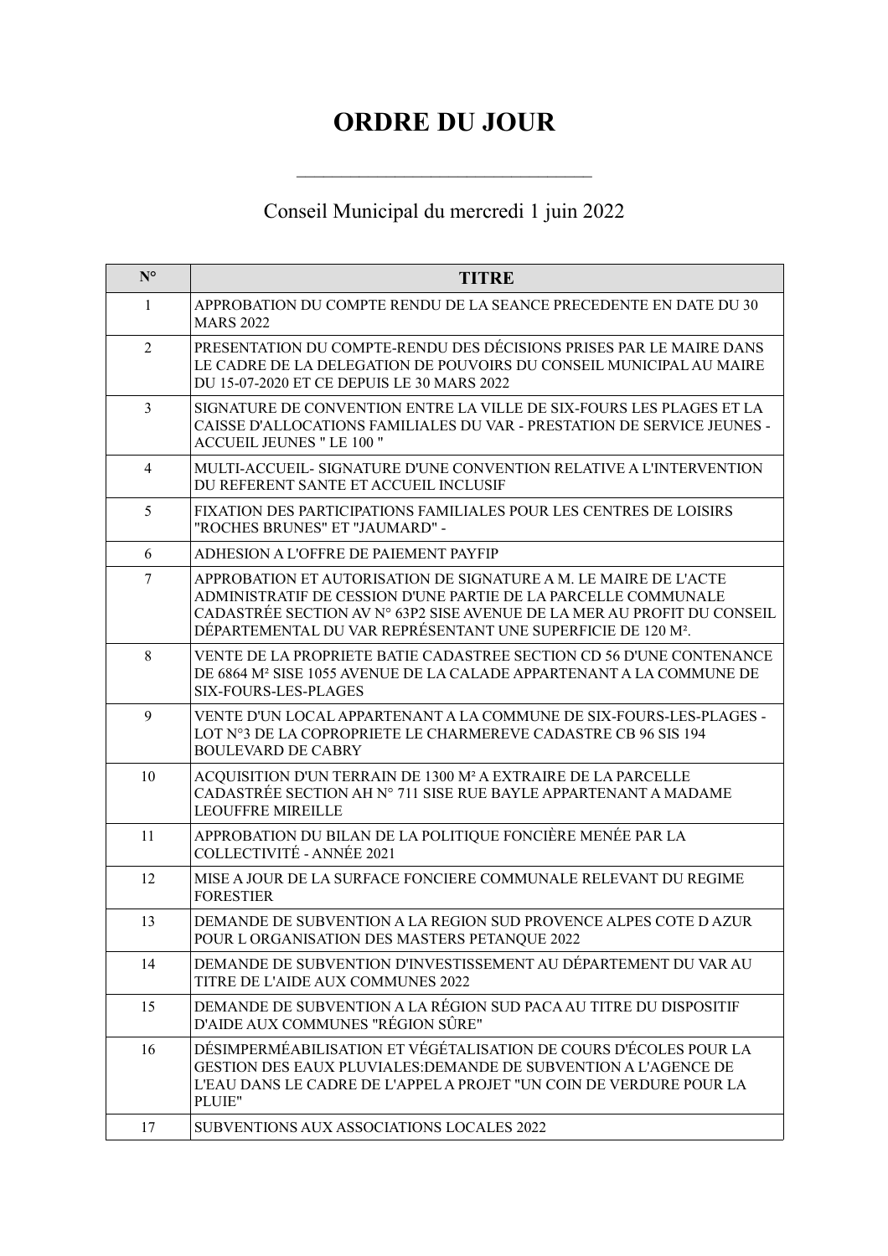## **ORDRE DU JOUR**

## Conseil Municipal du mercredi 1 juin 2022

| $N^{\circ}$    | <b>TITRE</b>                                                                                                                                                                                                                                                                              |
|----------------|-------------------------------------------------------------------------------------------------------------------------------------------------------------------------------------------------------------------------------------------------------------------------------------------|
| 1              | APPROBATION DU COMPTE RENDU DE LA SEANCE PRECEDENTE EN DATE DU 30<br><b>MARS 2022</b>                                                                                                                                                                                                     |
| 2              | PRESENTATION DU COMPTE-RENDU DES DÉCISIONS PRISES PAR LE MAIRE DANS<br>LE CADRE DE LA DELEGATION DE POUVOIRS DU CONSEIL MUNICIPAL AU MAIRE<br>DU 15-07-2020 ET CE DEPUIS LE 30 MARS 2022                                                                                                  |
| $\overline{3}$ | SIGNATURE DE CONVENTION ENTRE LA VILLE DE SIX-FOURS LES PLAGES ET LA<br>CAISSE D'ALLOCATIONS FAMILIALES DU VAR - PRESTATION DE SERVICE JEUNES -<br><b>ACCUEIL JEUNES " LE 100 "</b>                                                                                                       |
| $\overline{4}$ | MULTI-ACCUEIL- SIGNATURE D'UNE CONVENTION RELATIVE A L'INTERVENTION<br>DU REFERENT SANTE ET ACCUEIL INCLUSIF                                                                                                                                                                              |
| 5              | FIXATION DES PARTICIPATIONS FAMILIALES POUR LES CENTRES DE LOISIRS<br>"ROCHES BRUNES" ET "JAUMARD" -                                                                                                                                                                                      |
| 6              | ADHESION A L'OFFRE DE PAIEMENT PAYFIP                                                                                                                                                                                                                                                     |
| 7              | APPROBATION ET AUTORISATION DE SIGNATURE A M. LE MAIRE DE L'ACTE<br>ADMINISTRATIF DE CESSION D'UNE PARTIE DE LA PARCELLE COMMUNALE<br>CADASTRÉE SECTION AV N° 63P2 SISE AVENUE DE LA MER AU PROFIT DU CONSEIL<br>DÉPARTEMENTAL DU VAR REPRÉSENTANT UNE SUPERFICIE DE 120 M <sup>2</sup> . |
| 8              | VENTE DE LA PROPRIETE BATIE CADASTREE SECTION CD 56 D'UNE CONTENANCE<br>DE 6864 M <sup>2</sup> SISE 1055 AVENUE DE LA CALADE APPARTENANT A LA COMMUNE DE<br>SIX-FOURS-LES-PLAGES                                                                                                          |
| 9              | VENTE D'UN LOCAL APPARTENANT A LA COMMUNE DE SIX-FOURS-LES-PLAGES -<br>LOT N°3 DE LA COPROPRIETE LE CHARMEREVE CADASTRE CB 96 SIS 194<br><b>BOULEVARD DE CABRY</b>                                                                                                                        |
| 10             | ACQUISITION D'UN TERRAIN DE 1300 M <sup>2</sup> A EXTRAIRE DE LA PARCELLE<br>CADASTRÉE SECTION AH N° 711 SISE RUE BAYLE APPARTENANT A MADAME<br><b>LEOUFFRE MIREILLE</b>                                                                                                                  |
| 11             | APPROBATION DU BILAN DE LA POLITIQUE FONCIÈRE MENÉE PAR LA<br>COLLECTIVITÉ - ANNÉE 2021                                                                                                                                                                                                   |
| 12             | MISE A JOUR DE LA SURFACE FONCIERE COMMUNALE RELEVANT DU REGIME<br><b>FORESTIER</b>                                                                                                                                                                                                       |
| 13             | DEMANDE DE SUBVENTION A LA REGION SUD PROVENCE ALPES COTE DAZUR<br>POUR L ORGANISATION DES MASTERS PETANQUE 2022                                                                                                                                                                          |
| 14             | DEMANDE DE SUBVENTION D'INVESTISSEMENT AU DÉPARTEMENT DU VAR AU<br>TITRE DE L'AIDE AUX COMMUNES 2022                                                                                                                                                                                      |
| 15             | DEMANDE DE SUBVENTION A LA RÉGION SUD PACA AU TITRE DU DISPOSITIF<br>D'AIDE AUX COMMUNES "RÉGION SÛRE"                                                                                                                                                                                    |
| 16             | DÉSIMPERMÉABILISATION ET VÉGÉTALISATION DE COURS D'ÉCOLES POUR LA<br>GESTION DES EAUX PLUVIALES: DEMANDE DE SUBVENTION A L'AGENCE DE<br>L'EAU DANS LE CADRE DE L'APPEL A PROJET "UN COIN DE VERDURE POUR LA<br>PLUIE"                                                                     |
| 17             | SUBVENTIONS AUX ASSOCIATIONS LOCALES 2022                                                                                                                                                                                                                                                 |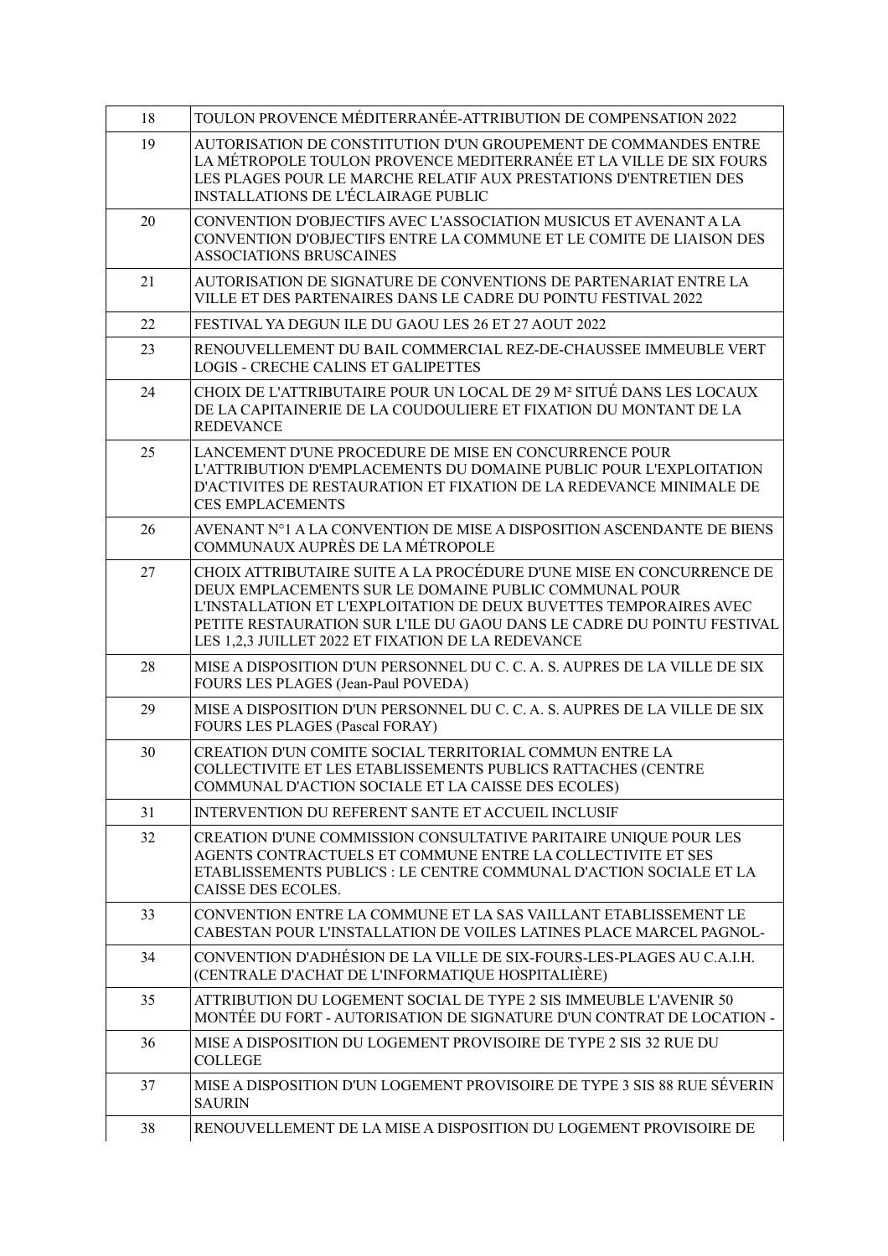| 18 | TOULON PROVENCE MÉDITERRANÉE-ATTRIBUTION DE COMPENSATION 2022                                                                                                                                                                                                                                                                       |
|----|-------------------------------------------------------------------------------------------------------------------------------------------------------------------------------------------------------------------------------------------------------------------------------------------------------------------------------------|
| 19 | AUTORISATION DE CONSTITUTION D'UN GROUPEMENT DE COMMANDES ENTRE<br>LA MÉTROPOLE TOULON PROVENCE MEDITERRANÉE ET LA VILLE DE SIX FOURS<br>LES PLAGES POUR LE MARCHE RELATIF AUX PRESTATIONS D'ENTRETIEN DES<br><b>INSTALLATIONS DE L'ÉCLAIRAGE PUBLIC</b>                                                                            |
| 20 | CONVENTION D'OBJECTIFS AVEC L'ASSOCIATION MUSICUS ET AVENANT A LA<br>CONVENTION D'OBJECTIFS ENTRE LA COMMUNE ET LE COMITE DE LIAISON DES<br><b>ASSOCIATIONS BRUSCAINES</b>                                                                                                                                                          |
| 21 | AUTORISATION DE SIGNATURE DE CONVENTIONS DE PARTENARIAT ENTRE LA<br>VILLE ET DES PARTENAIRES DANS LE CADRE DU POINTU FESTIVAL 2022                                                                                                                                                                                                  |
| 22 | FESTIVAL YA DEGUN ILE DU GAOU LES 26 ET 27 AOUT 2022                                                                                                                                                                                                                                                                                |
| 23 | RENOUVELLEMENT DU BAIL COMMERCIAL REZ-DE-CHAUSSEE IMMEUBLE VERT<br><b>LOGIS - CRECHE CALINS ET GALIPETTES</b>                                                                                                                                                                                                                       |
| 24 | CHOIX DE L'ATTRIBUTAIRE POUR UN LOCAL DE 29 M <sup>2</sup> SITUÉ DANS LES LOCAUX<br>DE LA CAPITAINERIE DE LA COUDOULIERE ET FIXATION DU MONTANT DE LA<br><b>REDEVANCE</b>                                                                                                                                                           |
| 25 | LANCEMENT D'UNE PROCEDURE DE MISE EN CONCURRENCE POUR<br>L'ATTRIBUTION D'EMPLACEMENTS DU DOMAINE PUBLIC POUR L'EXPLOITATION<br>D'ACTIVITES DE RESTAURATION ET FIXATION DE LA REDEVANCE MINIMALE DE<br><b>CES EMPLACEMENTS</b>                                                                                                       |
| 26 | AVENANT N°1 A LA CONVENTION DE MISE A DISPOSITION ASCENDANTE DE BIENS<br>COMMUNAUX AUPRÈS DE LA MÉTROPOLE                                                                                                                                                                                                                           |
| 27 | CHOIX ATTRIBUTAIRE SUITE A LA PROCÉDURE D'UNE MISE EN CONCURRENCE DE<br>DEUX EMPLACEMENTS SUR LE DOMAINE PUBLIC COMMUNAL POUR<br>L'INSTALLATION ET L'EXPLOITATION DE DEUX BUVETTES TEMPORAIRES AVEC<br>PETITE RESTAURATION SUR L'ILE DU GAOU DANS LE CADRE DU POINTU FESTIVAL<br>LES 1,2,3 JUILLET 2022 ET FIXATION DE LA REDEVANCE |
| 28 | MISE A DISPOSITION D'UN PERSONNEL DU C. C. A. S. AUPRES DE LA VILLE DE SIX<br>FOURS LES PLAGES (Jean-Paul POVEDA)                                                                                                                                                                                                                   |
| 29 | MISE A DISPOSITION D'UN PERSONNEL DU C. C. A. S. AUPRES DE LA VILLE DE SIX<br><b>FOURS LES PLAGES (Pascal FORAY)</b>                                                                                                                                                                                                                |
| 30 | CREATION D'UN COMITE SOCIAL TERRITORIAL COMMUN ENTRE LA<br>COLLECTIVITE ET LES ETABLISSEMENTS PUBLICS RATTACHES (CENTRE<br>COMMUNAL D'ACTION SOCIALE ET LA CAISSE DES ECOLES)                                                                                                                                                       |
| 31 | <b>INTERVENTION DU REFERENT SANTE ET ACCUEIL INCLUSIF</b>                                                                                                                                                                                                                                                                           |
| 32 | CREATION D'UNE COMMISSION CONSULTATIVE PARITAIRE UNIQUE POUR LES<br>AGENTS CONTRACTUELS ET COMMUNE ENTRE LA COLLECTIVITE ET SES<br>ETABLISSEMENTS PUBLICS : LE CENTRE COMMUNAL D'ACTION SOCIALE ET LA<br>CAISSE DES ECOLES.                                                                                                         |
| 33 | CONVENTION ENTRE LA COMMUNE ET LA SAS VAILLANT ETABLISSEMENT LE<br>CABESTAN POUR L'INSTALLATION DE VOILES LATINES PLACE MARCEL PAGNOL-                                                                                                                                                                                              |
| 34 | CONVENTION D'ADHÉSION DE LA VILLE DE SIX-FOURS-LES-PLAGES AU C.A.I.H.<br>(CENTRALE D'ACHAT DE L'INFORMATIQUE HOSPITALIÈRE)                                                                                                                                                                                                          |
| 35 | ATTRIBUTION DU LOGEMENT SOCIAL DE TYPE 2 SIS IMMEUBLE L'AVENIR 50<br>MONTÉE DU FORT - AUTORISATION DE SIGNATURE D'UN CONTRAT DE LOCATION -                                                                                                                                                                                          |
| 36 | MISE A DISPOSITION DU LOGEMENT PROVISOIRE DE TYPE 2 SIS 32 RUE DU<br><b>COLLEGE</b>                                                                                                                                                                                                                                                 |
| 37 | MISE A DISPOSITION D'UN LOGEMENT PROVISOIRE DE TYPE 3 SIS 88 RUE SÉVERIN<br><b>SAURIN</b>                                                                                                                                                                                                                                           |
| 38 | RENOUVELLEMENT DE LA MISE A DISPOSITION DU LOGEMENT PROVISOIRE DE                                                                                                                                                                                                                                                                   |